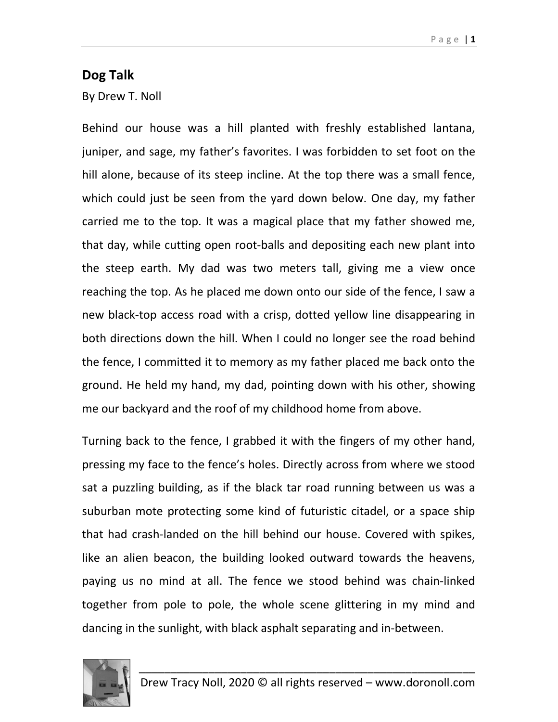## Dog Talk

By Drew T. Noll

Behind our house was a hill planted with freshly established lantana, juniper, and sage, my father's favorites. I was forbidden to set foot on the hill alone, because of its steep incline. At the top there was a small fence, which could just be seen from the yard down below. One day, my father carried me to the top. It was a magical place that my father showed me, that day, while cutting open root-balls and depositing each new plant into the steep earth. My dad was two meters tall, giving me a view once reaching the top. As he placed me down onto our side of the fence, I saw a new black-top access road with a crisp, dotted yellow line disappearing in both directions down the hill. When I could no longer see the road behind the fence, I committed it to memory as my father placed me back onto the ground. He held my hand, my dad, pointing down with his other, showing me our backyard and the roof of my childhood home from above.

Turning back to the fence, I grabbed it with the fingers of my other hand, pressing my face to the fence's holes. Directly across from where we stood sat a puzzling building, as if the black tar road running between us was a suburban mote protecting some kind of futuristic citadel, or a space ship that had crash-landed on the hill behind our house. Covered with spikes, like an alien beacon, the building looked outward towards the heavens, paying us no mind at all. The fence we stood behind was chain-linked together from pole to pole, the whole scene glittering in my mind and dancing in the sunlight, with black asphalt separating and in-between.

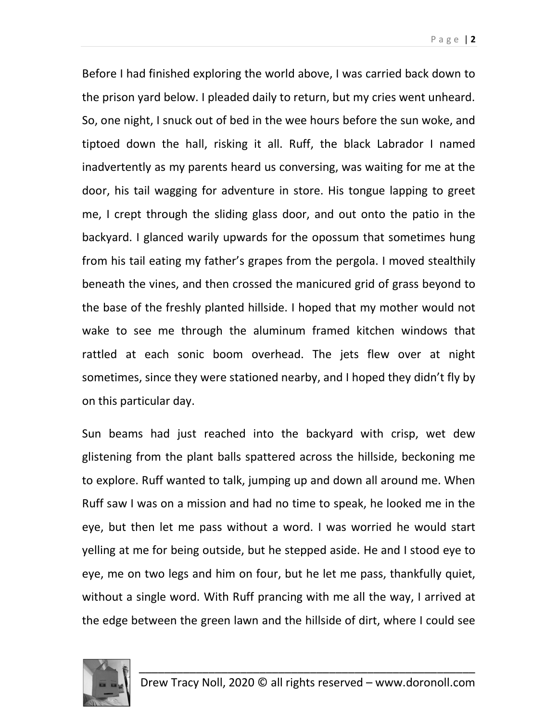Before I had finished exploring the world above, I was carried back down to the prison yard below. I pleaded daily to return, but my cries went unheard. So, one night, I snuck out of bed in the wee hours before the sun woke, and tiptoed down the hall, risking it all. Ruff, the black Labrador I named inadvertently as my parents heard us conversing, was waiting for me at the door, his tail wagging for adventure in store. His tongue lapping to greet me, I crept through the sliding glass door, and out onto the patio in the backyard. I glanced warily upwards for the opossum that sometimes hung from his tail eating my father's grapes from the pergola. I moved stealthily beneath the vines, and then crossed the manicured grid of grass beyond to the base of the freshly planted hillside. I hoped that my mother would not wake to see me through the aluminum framed kitchen windows that rattled at each sonic boom overhead. The jets flew over at night sometimes, since they were stationed nearby, and I hoped they didn't fly by on this particular day.

Sun beams had just reached into the backyard with crisp, wet dew glistening from the plant balls spattered across the hillside, beckoning me to explore. Ruff wanted to talk, jumping up and down all around me. When Ruff saw I was on a mission and had no time to speak, he looked me in the eye, but then let me pass without a word. I was worried he would start yelling at me for being outside, but he stepped aside. He and I stood eye to eye, me on two legs and him on four, but he let me pass, thankfully quiet, without a single word. With Ruff prancing with me all the way, I arrived at the edge between the green lawn and the hillside of dirt, where I could see

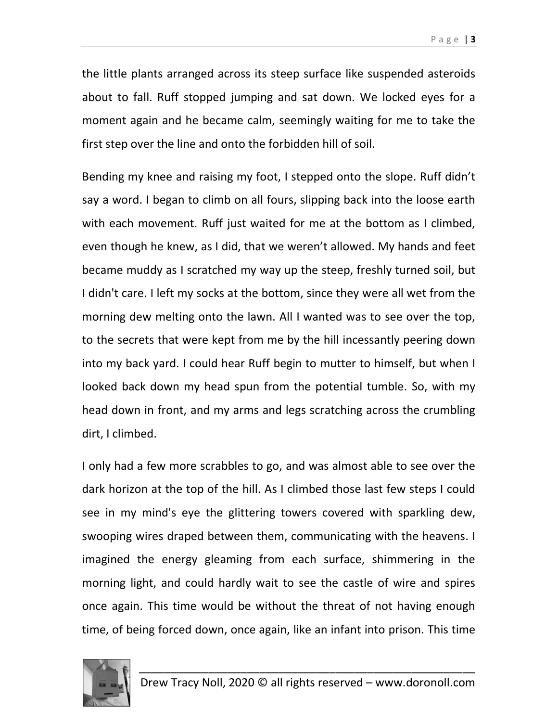the little plants arranged across its steep surface like suspended asteroids about to fall. Ruff stopped jumping and sat down. We locked eyes for a moment again and he became calm, seemingly waiting for me to take the first step over the line and onto the forbidden hill of soil.

Bending my knee and raising my foot, I stepped onto the slope. Ruff didn't say a word. I began to climb on all fours, slipping back into the loose earth with each movement. Ruff just waited for me at the bottom as I climbed, even though he knew, as I did, that we weren't allowed. My hands and feet became muddy as I scratched my way up the steep, freshly turned soil, but I didn't care. I left my socks at the bottom, since they were all wet from the morning dew melting onto the lawn. All I wanted was to see over the top, to the secrets that were kept from me by the hill incessantly peering down into my back yard. I could hear Ruff begin to mutter to himself, but when I looked back down my head spun from the potential tumble. So, with my head down in front, and my arms and legs scratching across the crumbling dirt, I climbed.

I only had a few more scrabbles to go, and was almost able to see over the dark horizon at the top of the hill. As I climbed those last few steps I could see in my mind's eye the glittering towers covered with sparkling dew, swooping wires draped between them, communicating with the heavens. I imagined the energy gleaming from each surface, shimmering in the morning light, and could hardly wait to see the castle of wire and spires once again. This time would be without the threat of not having enough time, of being forced down, once again, like an infant into prison. This time

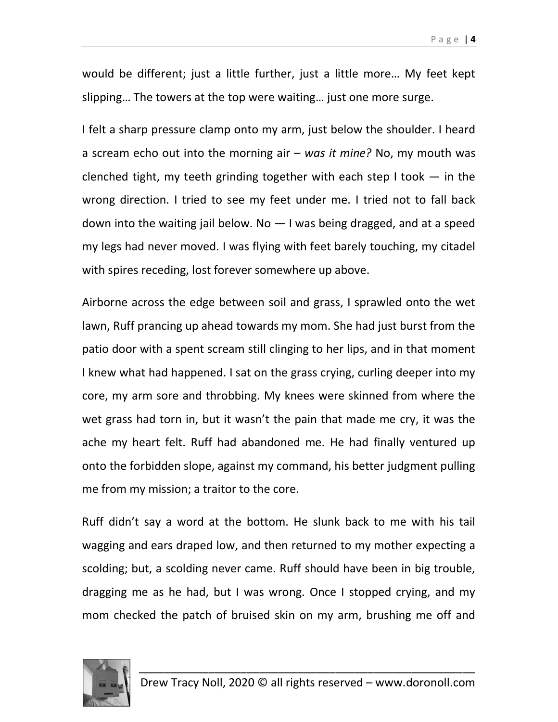would be different; just a little further, just a little more… My feet kept slipping… The towers at the top were waiting… just one more surge.

I felt a sharp pressure clamp onto my arm, just below the shoulder. I heard a scream echo out into the morning air  $-$  was it mine? No, my mouth was clenched tight, my teeth grinding together with each step I took  $-$  in the wrong direction. I tried to see my feet under me. I tried not to fall back down into the waiting jail below. No  $-$  I was being dragged, and at a speed my legs had never moved. I was flying with feet barely touching, my citadel with spires receding, lost forever somewhere up above.

Airborne across the edge between soil and grass, I sprawled onto the wet lawn, Ruff prancing up ahead towards my mom. She had just burst from the patio door with a spent scream still clinging to her lips, and in that moment I knew what had happened. I sat on the grass crying, curling deeper into my core, my arm sore and throbbing. My knees were skinned from where the wet grass had torn in, but it wasn't the pain that made me cry, it was the ache my heart felt. Ruff had abandoned me. He had finally ventured up onto the forbidden slope, against my command, his better judgment pulling me from my mission; a traitor to the core.

Ruff didn't say a word at the bottom. He slunk back to me with his tail wagging and ears draped low, and then returned to my mother expecting a scolding; but, a scolding never came. Ruff should have been in big trouble, dragging me as he had, but I was wrong. Once I stopped crying, and my mom checked the patch of bruised skin on my arm, brushing me off and